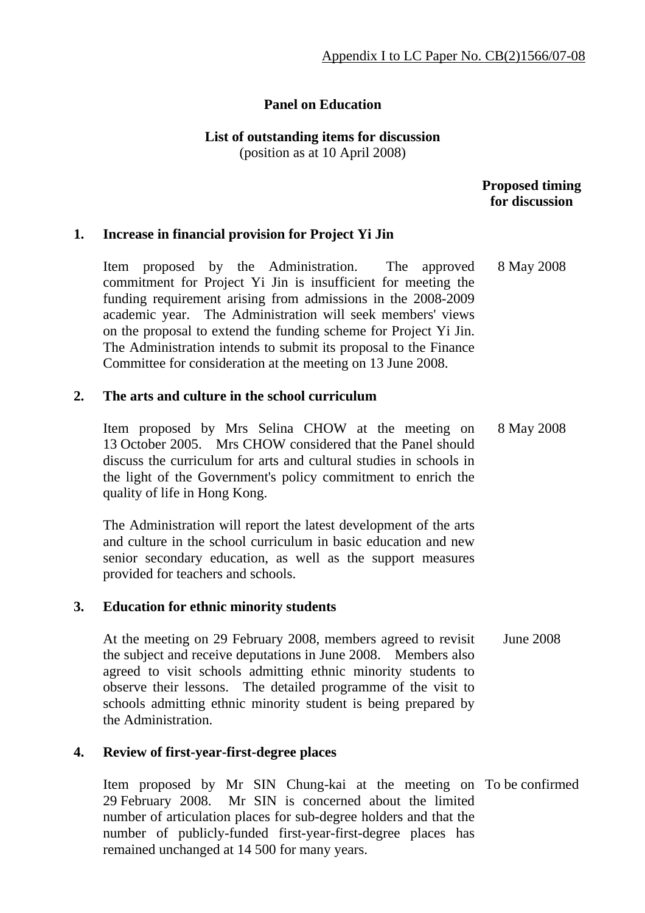# **Panel on Education**

#### **List of outstanding items for discussion**  (position as at 10 April 2008)

# **Proposed timing for discussion**

# **1. Increase in financial provision for Project Yi Jin**

 Item proposed by the Administration. The approved commitment for Project Yi Jin is insufficient for meeting the funding requirement arising from admissions in the 2008-2009 academic year. The Administration will seek members' views on the proposal to extend the funding scheme for Project Yi Jin. The Administration intends to submit its proposal to the Finance Committee for consideration at the meeting on 13 June 2008. 8 May 2008

# **2. The arts and culture in the school curriculum**

 Item proposed by Mrs Selina CHOW at the meeting on 13 October 2005. Mrs CHOW considered that the Panel should discuss the curriculum for arts and cultural studies in schools in the light of the Government's policy commitment to enrich the quality of life in Hong Kong. 8 May 2008

The Administration will report the latest development of the arts and culture in the school curriculum in basic education and new senior secondary education, as well as the support measures provided for teachers and schools.

# **3. Education for ethnic minority students**

 At the meeting on 29 February 2008, members agreed to revisit the subject and receive deputations in June 2008. Members also agreed to visit schools admitting ethnic minority students to observe their lessons. The detailed programme of the visit to schools admitting ethnic minority student is being prepared by the Administration. June 2008

# **4. Review of first-year-first-degree places**

 Item proposed by Mr SIN Chung-kai at the meeting on To be confirmed29 February 2008. Mr SIN is concerned about the limited number of articulation places for sub-degree holders and that the number of publicly-funded first-year-first-degree places has remained unchanged at 14 500 for many years.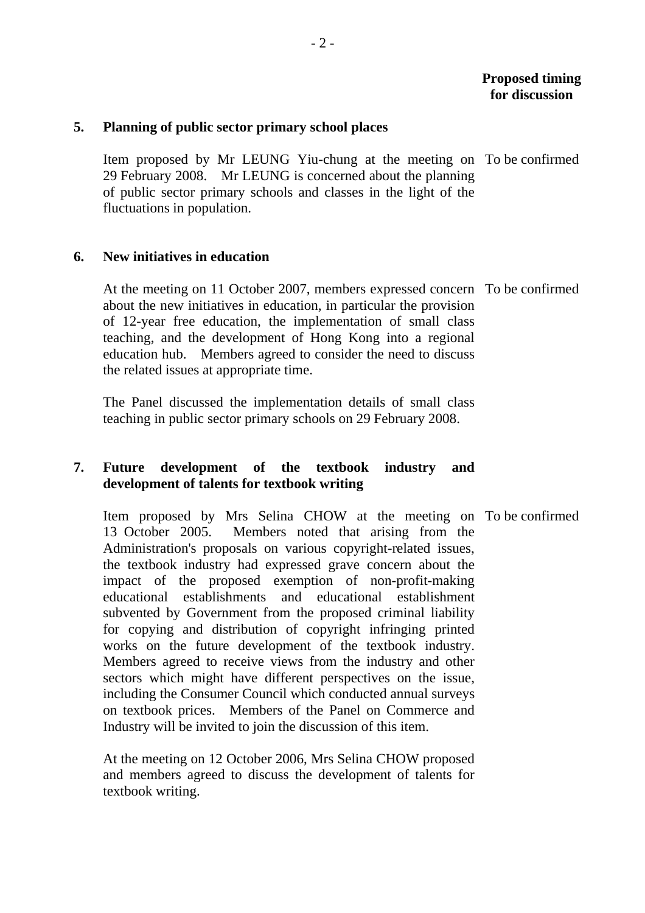#### **Proposed timing for discussion**

#### **5. Planning of public sector primary school places**

 Item proposed by Mr LEUNG Yiu-chung at the meeting on To be confirmed 29 February 2008. Mr LEUNG is concerned about the planning of public sector primary schools and classes in the light of the fluctuations in population.

#### **6. New initiatives in education**

 At the meeting on 11 October 2007, members expressed concern To be confirmed about the new initiatives in education, in particular the provision of 12-year free education, the implementation of small class teaching, and the development of Hong Kong into a regional education hub. Members agreed to consider the need to discuss the related issues at appropriate time.

The Panel discussed the implementation details of small class teaching in public sector primary schools on 29 February 2008.

# **7. Future development of the textbook industry and development of talents for textbook writing**

 Item proposed by Mrs Selina CHOW at the meeting on To be confirmed13 October 2005. Members noted that arising from the Administration's proposals on various copyright-related issues, the textbook industry had expressed grave concern about the impact of the proposed exemption of non-profit-making educational establishments and educational establishment subvented by Government from the proposed criminal liability for copying and distribution of copyright infringing printed works on the future development of the textbook industry. Members agreed to receive views from the industry and other sectors which might have different perspectives on the issue, including the Consumer Council which conducted annual surveys on textbook prices. Members of the Panel on Commerce and Industry will be invited to join the discussion of this item.

At the meeting on 12 October 2006, Mrs Selina CHOW proposed and members agreed to discuss the development of talents for textbook writing.